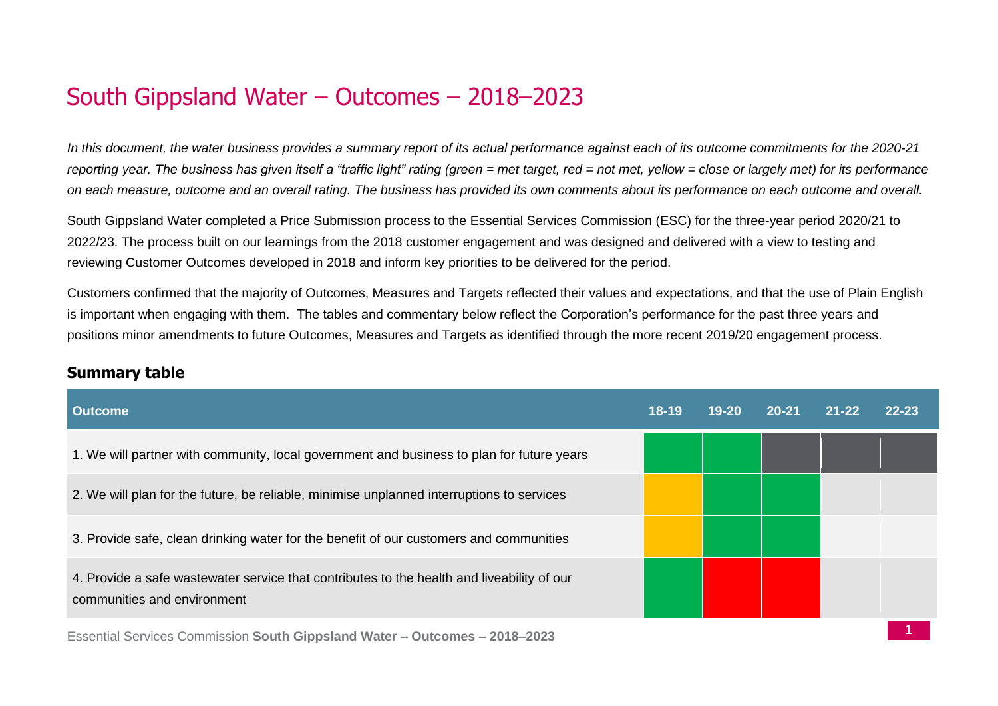# South Gippsland Water – Outcomes – 2018–2023

*In this document, the water business provides a summary report of its actual performance against each of its outcome commitments for the 2020-21 reporting year. The business has given itself a "traffic light" rating (green = met target, red = not met, yellow = close or largely met) for its performance on each measure, outcome and an overall rating. The business has provided its own comments about its performance on each outcome and overall.*

South Gippsland Water completed a Price Submission process to the Essential Services Commission (ESC) for the three-year period 2020/21 to 2022/23. The process built on our learnings from the 2018 customer engagement and was designed and delivered with a view to testing and reviewing Customer Outcomes developed in 2018 and inform key priorities to be delivered for the period.

Customers confirmed that the majority of Outcomes, Measures and Targets reflected their values and expectations, and that the use of Plain English is important when engaging with them. The tables and commentary below reflect the Corporation's performance for the past three years and positions minor amendments to future Outcomes, Measures and Targets as identified through the more recent 2019/20 engagement process.

| <b>Outcome</b>                                                                                                            | $18-19$ | $19 - 20$ | $20 - 21$ | $21 - 22$ | $22 - 23$ |
|---------------------------------------------------------------------------------------------------------------------------|---------|-----------|-----------|-----------|-----------|
| 1. We will partner with community, local government and business to plan for future years                                 |         |           |           |           |           |
| 2. We will plan for the future, be reliable, minimise unplanned interruptions to services                                 |         |           |           |           |           |
| 3. Provide safe, clean drinking water for the benefit of our customers and communities                                    |         |           |           |           |           |
| 4. Provide a safe wastewater service that contributes to the health and liveability of our<br>communities and environment |         |           |           |           |           |
| Ecceptial Carriage Commission Rauth Cinneland Water Quteemee 2010 2022                                                    |         |           |           |           |           |

## **Summary table**

Essential Services Commission **South Gippsland Water – Outcomes – 2018–2023**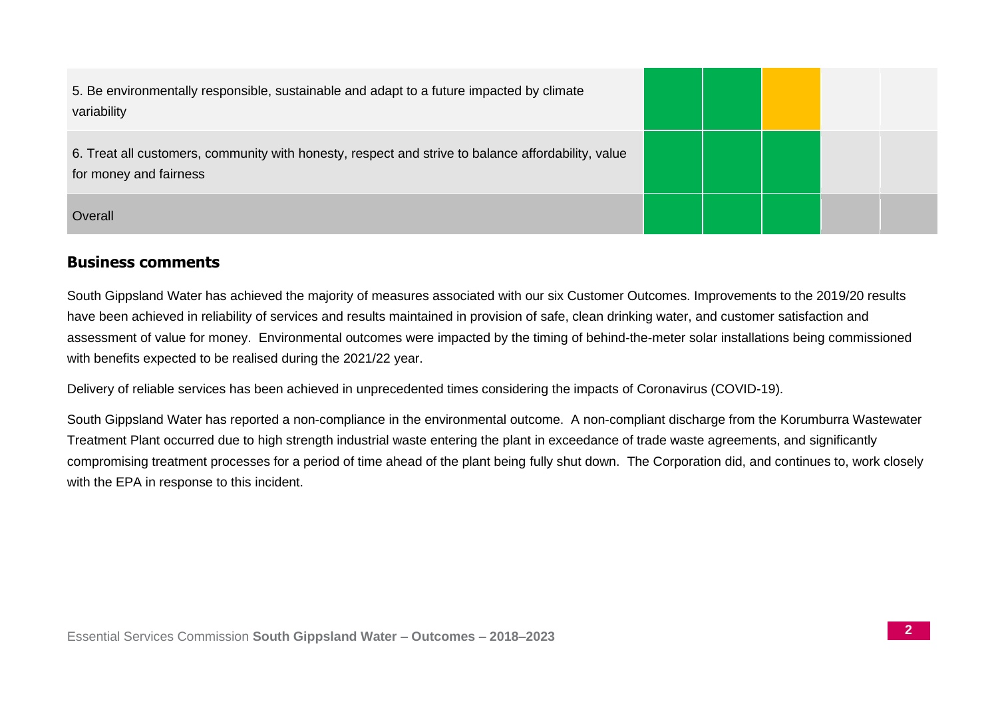| 5. Be environmentally responsible, sustainable and adapt to a future impacted by climate<br>variability                      |  |  |  |
|------------------------------------------------------------------------------------------------------------------------------|--|--|--|
| 6. Treat all customers, community with honesty, respect and strive to balance affordability, value<br>for money and fairness |  |  |  |
| Overall                                                                                                                      |  |  |  |

#### **Business comments**

South Gippsland Water has achieved the majority of measures associated with our six Customer Outcomes. Improvements to the 2019/20 results have been achieved in reliability of services and results maintained in provision of safe, clean drinking water, and customer satisfaction and assessment of value for money. Environmental outcomes were impacted by the timing of behind-the-meter solar installations being commissioned with benefits expected to be realised during the 2021/22 year.

Delivery of reliable services has been achieved in unprecedented times considering the impacts of Coronavirus (COVID-19).

South Gippsland Water has reported a non-compliance in the environmental outcome. A non-compliant discharge from the Korumburra Wastewater Treatment Plant occurred due to high strength industrial waste entering the plant in exceedance of trade waste agreements, and significantly compromising treatment processes for a period of time ahead of the plant being fully shut down. The Corporation did, and continues to, work closely with the EPA in response to this incident.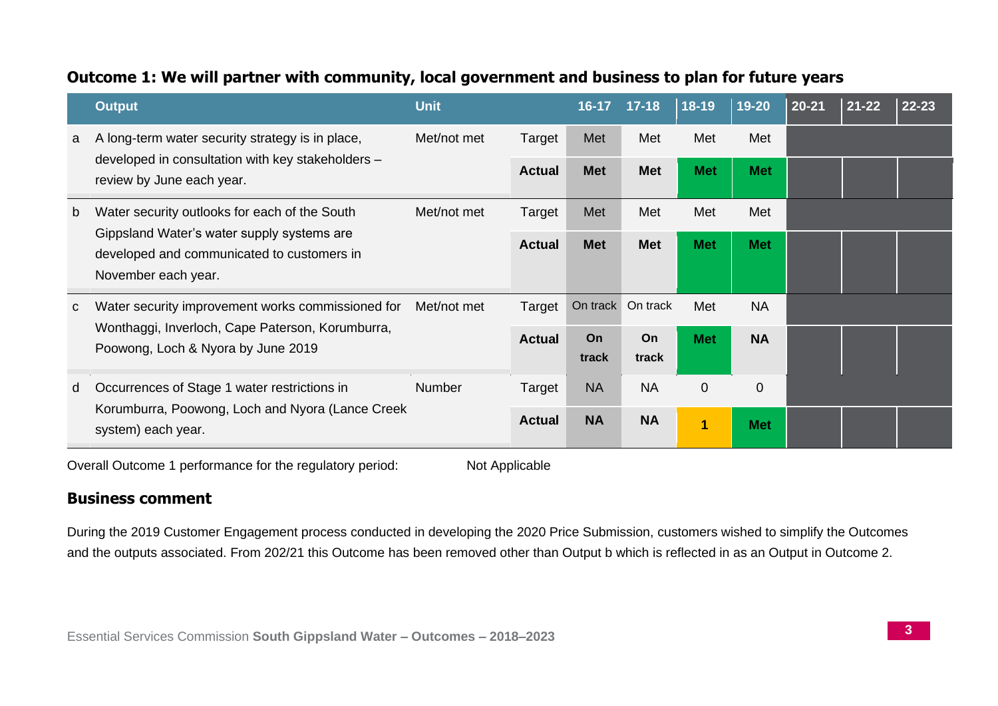## **Outcome 1: We will partner with community, local government and business to plan for future years**

|   | <b>Output</b>                                                                                                                               | <b>Unit</b> |               | $16 - 17$   | $17 - 18$   | $18-19$        | $19 - 20$      | 20-21 | $21 - 22$ | $22 - 23$ |
|---|---------------------------------------------------------------------------------------------------------------------------------------------|-------------|---------------|-------------|-------------|----------------|----------------|-------|-----------|-----------|
| a | A long-term water security strategy is in place,                                                                                            | Met/not met | Target        | Met         | Met         | Met            | Met            |       |           |           |
|   | developed in consultation with key stakeholders -<br>review by June each year.                                                              |             | <b>Actual</b> | <b>Met</b>  | <b>Met</b>  | <b>Met</b>     | <b>Met</b>     |       |           |           |
| b | Water security outlooks for each of the South                                                                                               | Met/not met | Target        | Met         | Met         | Met            | Met            |       |           |           |
|   | Gippsland Water's water supply systems are<br>developed and communicated to customers in<br>November each year.                             |             | <b>Actual</b> | <b>Met</b>  | <b>Met</b>  | <b>Met</b>     | <b>Met</b>     |       |           |           |
| C | Water security improvement works commissioned for<br>Wonthaggi, Inverloch, Cape Paterson, Korumburra,<br>Poowong, Loch & Nyora by June 2019 | Met/not met | Target        | On track    | On track    | Met            | <b>NA</b>      |       |           |           |
|   |                                                                                                                                             |             | <b>Actual</b> | On<br>track | On<br>track | <b>Met</b>     | <b>NA</b>      |       |           |           |
| d | Occurrences of Stage 1 water restrictions in                                                                                                | Number      | Target        | <b>NA</b>   | <b>NA</b>   | $\mathbf{0}$   | $\overline{0}$ |       |           |           |
|   | Korumburra, Poowong, Loch and Nyora (Lance Creek<br>system) each year.                                                                      |             | <b>Actual</b> | <b>NA</b>   | <b>NA</b>   | $\overline{1}$ | <b>Met</b>     |       |           |           |

Overall Outcome 1 performance for the regulatory period: Not Applicable

## **Business comment**

During the 2019 Customer Engagement process conducted in developing the 2020 Price Submission, customers wished to simplify the Outcomes and the outputs associated. From 202/21 this Outcome has been removed other than Output b which is reflected in as an Output in Outcome 2.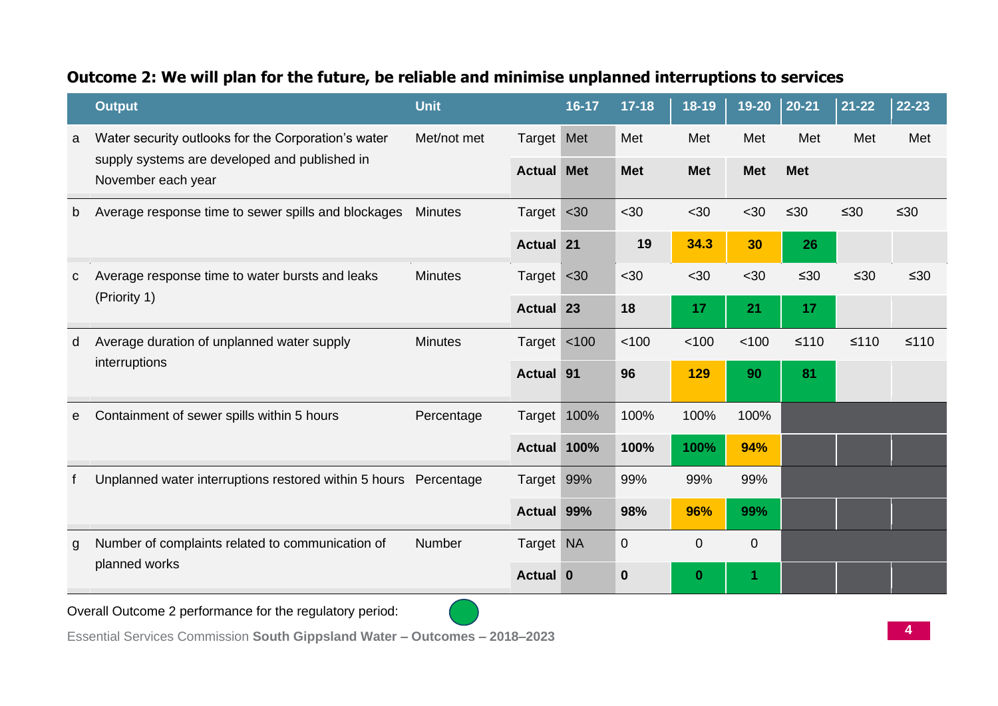## **Outcome 2: We will plan for the future, be reliable and minimise unplanned interruptions to services**

|              | <b>Output</b>                                                       | <b>Unit</b>    |                   | 16-17 | $17 - 18$   | 18-19          | $19 - 20$      | $ 20-21$   | $21 - 22$ | 22-23     |
|--------------|---------------------------------------------------------------------|----------------|-------------------|-------|-------------|----------------|----------------|------------|-----------|-----------|
| a            | Water security outlooks for the Corporation's water                 | Met/not met    | Target Met        |       | Met         | Met            | Met            | Met        | Met       | Met       |
|              | supply systems are developed and published in<br>November each year |                | <b>Actual Met</b> |       | <b>Met</b>  | <b>Met</b>     | <b>Met</b>     | <b>Met</b> |           |           |
| b            | Average response time to sewer spills and blockages                 | <b>Minutes</b> | Target <30        |       | $30$        | <30            | $30$           | $\leq 30$  | $\leq 30$ | $\leq 30$ |
|              |                                                                     |                | <b>Actual 21</b>  |       | 19          | 34.3           | 30             | 26         |           |           |
| $\mathbf{C}$ | Average response time to water bursts and leaks                     | <b>Minutes</b> | Target <30        |       | $30$        | <30            | <30            | $\leq 30$  | $\leq 30$ | $\leq 30$ |
|              | (Priority 1)                                                        |                | <b>Actual</b> 23  |       | 18          | 17             | 21             | 17         |           |           |
| d            | Average duration of unplanned water supply<br>interruptions         | <b>Minutes</b> | Target <100       |       | 100         | 100            | 100            | $≤110$     | $≤110$    | $≤110$    |
|              |                                                                     |                | <b>Actual 91</b>  |       | 96          | 129            | 90             | 81         |           |           |
| e            | Containment of sewer spills within 5 hours                          | Percentage     | Target            | 100%  | 100%        | 100%           | 100%           |            |           |           |
|              |                                                                     |                | Actual 100%       |       | 100%        | 100%           | 94%            |            |           |           |
|              | Unplanned water interruptions restored within 5 hours Percentage    |                | Target 99%        |       | 99%         | 99%            | 99%            |            |           |           |
|              |                                                                     |                | Actual 99%        |       | 98%         | 96%            | 99%            |            |           |           |
| g            | Number of complaints related to communication of                    | Number         | Target NA         |       | $\mathbf 0$ | $\overline{0}$ | $\overline{0}$ |            |           |           |
|              | planned works                                                       |                | Actual 0          |       | $\bf{0}$    | $\bf{0}$       | 1              |            |           |           |

Overall Outcome 2 performance for the regulatory period:



Essential Services Commission **South Gippsland Water – Outcomes – 2018–2023**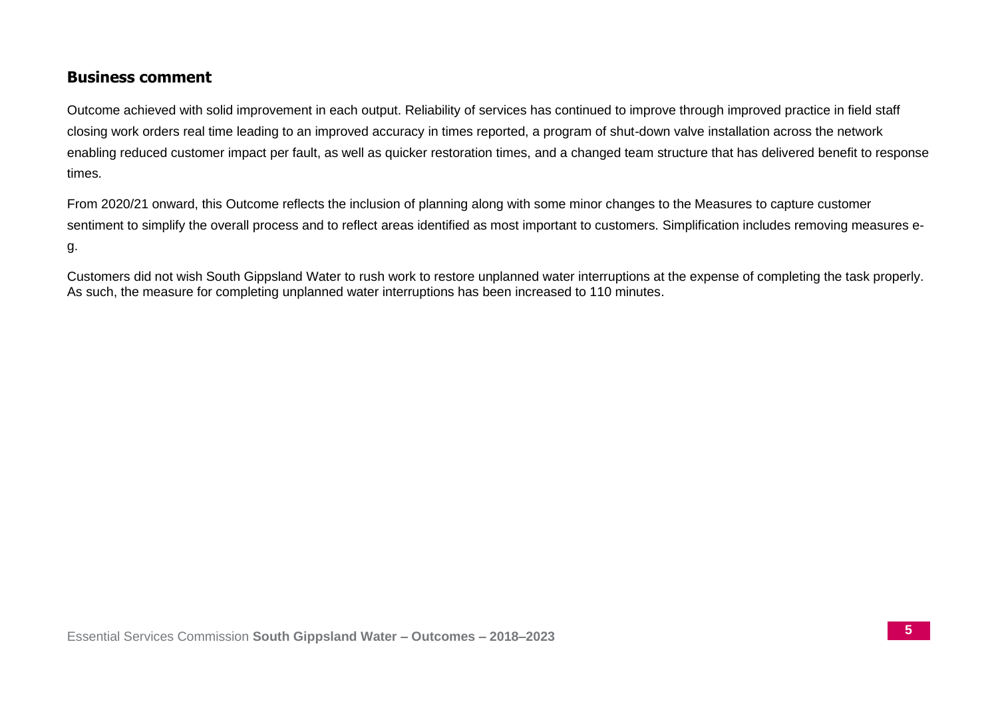## **Business comment**

Outcome achieved with solid improvement in each output. Reliability of services has continued to improve through improved practice in field staff closing work orders real time leading to an improved accuracy in times reported, a program of shut-down valve installation across the network enabling reduced customer impact per fault, as well as quicker restoration times, and a changed team structure that has delivered benefit to response times.

From 2020/21 onward, this Outcome reflects the inclusion of planning along with some minor changes to the Measures to capture customer sentiment to simplify the overall process and to reflect areas identified as most important to customers. Simplification includes removing measures eg.

Customers did not wish South Gippsland Water to rush work to restore unplanned water interruptions at the expense of completing the task properly. As such, the measure for completing unplanned water interruptions has been increased to 110 minutes.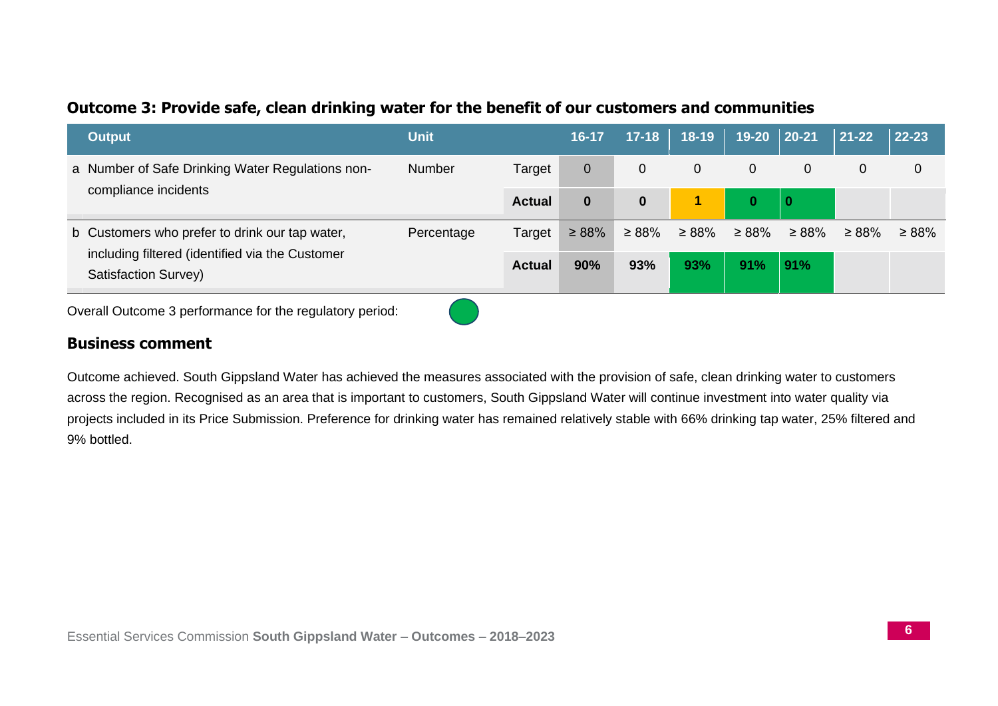## **Outcome 3: Provide safe, clean drinking water for the benefit of our customers and communities**

| <b>Output</b>                                                           | <b>Unit</b>   |               | 16-17          | $17 - 18$   | $18-19$     | $19 - 20$   | $\vert$ 20-21 | $ 21-22 $   | $ 22 - 23 $ |
|-------------------------------------------------------------------------|---------------|---------------|----------------|-------------|-------------|-------------|---------------|-------------|-------------|
| a Number of Safe Drinking Water Regulations non-                        | <b>Number</b> | Target        | $\overline{0}$ | 0           | 0           | $\mathbf 0$ | 0             | 0           | 0           |
| compliance incidents                                                    |               | <b>Actual</b> | $\bf{0}$       | $\bf{0}$    | 1           | 0           | 0             |             |             |
| b Customers who prefer to drink our tap water,                          | Percentage    | Target        | $\geq 88\%$    | $\geq 88\%$ | $\geq 88\%$ | $\geq 88\%$ | $\geq 88\%$   | $\geq 88\%$ | $\geq 88\%$ |
| including filtered (identified via the Customer<br>Satisfaction Survey) |               | <b>Actual</b> | 90%            | 93%         | 93%         | 91%         | 91%           |             |             |

Overall Outcome 3 performance for the regulatory period:

#### **Business comment**

Outcome achieved. South Gippsland Water has achieved the measures associated with the provision of safe, clean drinking water to customers across the region. Recognised as an area that is important to customers, South Gippsland Water will continue investment into water quality via projects included in its Price Submission. Preference for drinking water has remained relatively stable with 66% drinking tap water, 25% filtered and 9% bottled.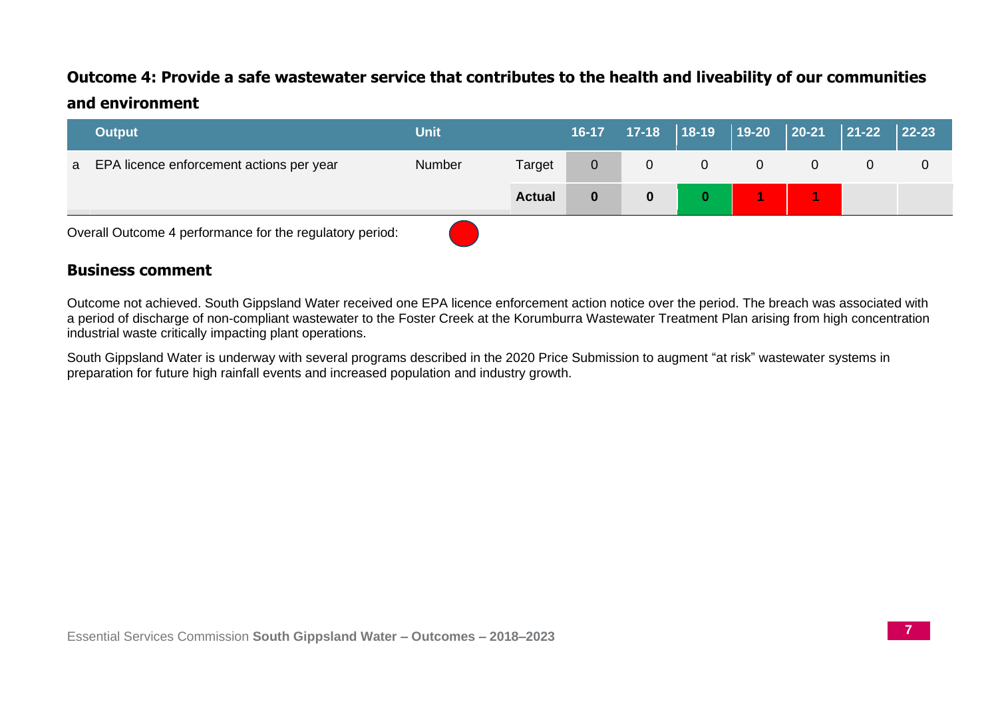## **Outcome 4: Provide a safe wastewater service that contributes to the health and liveability of our communities and environment**

|   | <b>Output</b>                                            | <b>Unit</b>   |               | $16 - 17$        |   |          | 17-18   18-19   19-20 | $ 20-21 $ | $\begin{array}{c} \hline 21-22 \end{array}$ | $ 22 - 23 $ |
|---|----------------------------------------------------------|---------------|---------------|------------------|---|----------|-----------------------|-----------|---------------------------------------------|-------------|
| a | EPA licence enforcement actions per year                 | <b>Number</b> | Target        | $\overline{0}$   | 0 | $\Omega$ |                       |           | 0                                           | 0           |
|   |                                                          |               | <b>Actual</b> | $\boldsymbol{0}$ |   |          |                       |           |                                             |             |
|   | Overall Outcome 4 performance for the regulatory period: |               |               |                  |   |          |                       |           |                                             |             |

#### **Business comment**

Outcome not achieved. South Gippsland Water received one EPA licence enforcement action notice over the period. The breach was associated with a period of discharge of non-compliant wastewater to the Foster Creek at the Korumburra Wastewater Treatment Plan arising from high concentration industrial waste critically impacting plant operations.

South Gippsland Water is underway with several programs described in the 2020 Price Submission to augment "at risk" wastewater systems in preparation for future high rainfall events and increased population and industry growth.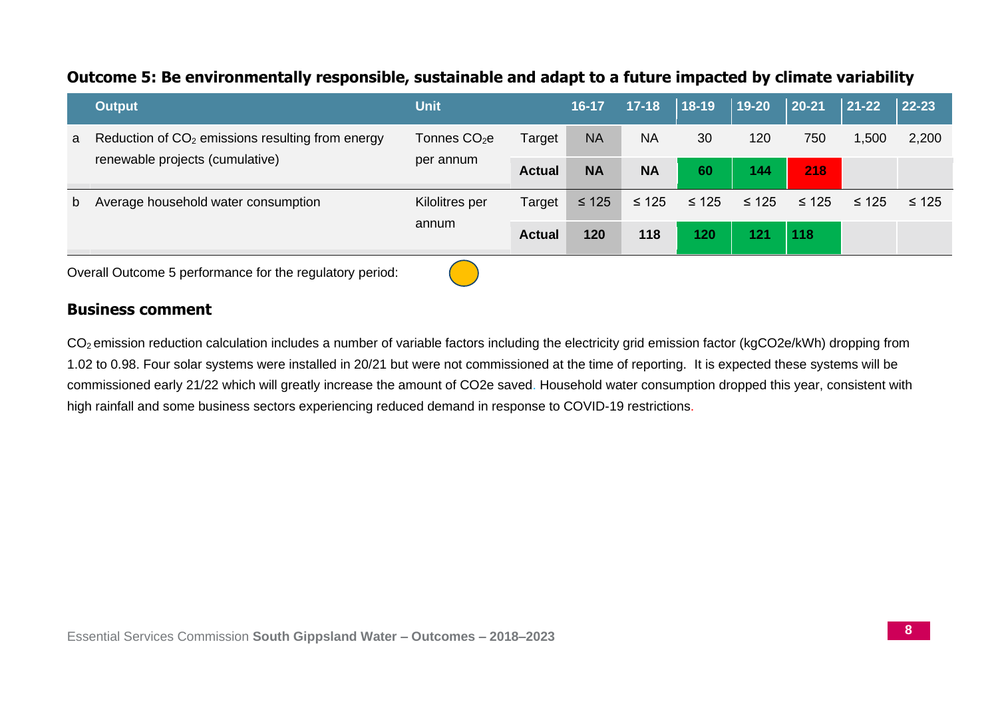## **Outcome 5: Be environmentally responsible, sustainable and adapt to a future impacted by climate variability**

|   | <b>Output</b>                                                | <b>Unit</b>              |               | $16-17$    | $17 - 18$  | $ 18-19 $  | 19-20      | $ 20-21 $  | $\vert$ 21-22 | $ 22 - 23 $ |
|---|--------------------------------------------------------------|--------------------------|---------------|------------|------------|------------|------------|------------|---------------|-------------|
| a | Reduction of CO <sub>2</sub> emissions resulting from energy | Tonnes CO <sub>2</sub> e | Target        | <b>NA</b>  | <b>NA</b>  | 30         | 120        | 750        | 1,500         | 2,200       |
|   | renewable projects (cumulative)                              | per annum                | <b>Actual</b> | <b>NA</b>  | <b>NA</b>  | 60         | 144        | 218        |               |             |
| b | Average household water consumption                          | Kilolitres per           | Target        | $\leq 125$ | $\leq 125$ | $\leq 125$ | $\leq 125$ | $\leq 125$ | $\leq 125$    | $\leq 125$  |
|   |                                                              | annum                    | <b>Actual</b> | 120        | 118        | 120        | 121        | 118        |               |             |
|   |                                                              |                          |               |            |            |            |            |            |               |             |

Overall Outcome 5 performance for the regulatory period:

#### **Business comment**

CO2 emission reduction calculation includes a number of variable factors including the electricity grid emission factor (kgCO2e/kWh) dropping from 1.02 to 0.98. Four solar systems were installed in 20/21 but were not commissioned at the time of reporting. It is expected these systems will be commissioned early 21/22 which will greatly increase the amount of CO2e saved. Household water consumption dropped this year, consistent with high rainfall and some business sectors experiencing reduced demand in response to COVID-19 restrictions.